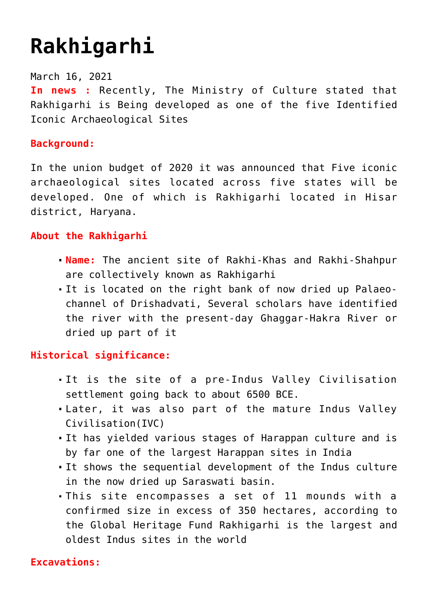# **[Rakhigarhi](https://journalsofindia.com/rakhigarhi/)**

March 16, 2021 **In news :** Recently, The Ministry of Culture stated that Rakhigarhi is Being developed as one of the five Identified Iconic Archaeological Sites

# **Background:**

In the union budget of 2020 it was announced that Five iconic archaeological sites located across five states will be developed. One of which is Rakhigarhi located in Hisar district, Haryana.

# **About the Rakhigarhi**

- **Name:** The ancient site of Rakhi-Khas and Rakhi-Shahpur are collectively known as Rakhigarhi
- It is located on the right bank of now dried up Palaeochannel of Drishadvati, Several scholars have identified the river with the present-day Ghaggar-Hakra River or dried up part of it

#### **Historical significance:**

- It is the site of a pre-Indus Valley Civilisation settlement going back to about 6500 BCE.
- Later, it was also part of the mature Indus Valley Civilisation(IVC)
- It has yielded various stages of Harappan culture and is by far one of the largest Harappan sites in India
- It shows the sequential development of the Indus culture in the now dried up Saraswati basin.
- This site encompasses a set of 11 mounds with a confirmed size in excess of 350 hectares, according to the Global Heritage Fund Rakhigarhi is the largest and oldest Indus sites in the world

#### **Excavations:**